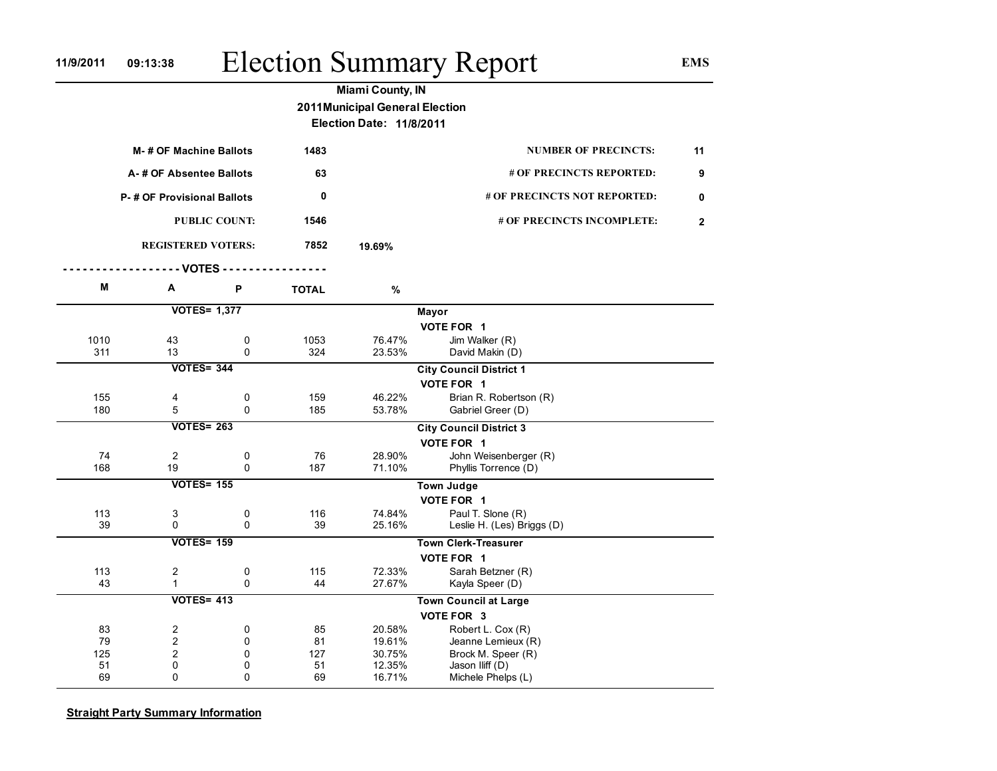## 11/9/2011 09:13:38 Election Summary Report EMS

|                          |                            |             |              | <b>Miami County, IN</b>         |                                |                |  |  |  |
|--------------------------|----------------------------|-------------|--------------|---------------------------------|--------------------------------|----------------|--|--|--|
|                          |                            |             |              | 2011 Municipal General Election |                                |                |  |  |  |
| Election Date: 11/8/2011 |                            |             |              |                                 |                                |                |  |  |  |
|                          | M-# OF Machine Ballots     |             |              |                                 | <b>NUMBER OF PRECINCTS:</b>    | 11             |  |  |  |
|                          | A-# OF Absentee Ballots    |             |              |                                 | # OF PRECINCTS REPORTED:       | 9              |  |  |  |
|                          | P-# OF Provisional Ballots |             |              |                                 | # OF PRECINCTS NOT REPORTED:   | 0              |  |  |  |
|                          | <b>PUBLIC COUNT:</b>       |             |              |                                 | # OF PRECINCTS INCOMPLETE:     | $\overline{2}$ |  |  |  |
|                          | <b>REGISTERED VOTERS:</b>  |             |              | 19.69%                          |                                |                |  |  |  |
|                          | $-$ VOTES -                |             |              |                                 |                                |                |  |  |  |
| М                        | Α                          | P           | <b>TOTAL</b> | $\%$                            |                                |                |  |  |  |
|                          | <b>VOTES= 1,377</b>        |             |              | Mayor                           |                                |                |  |  |  |
|                          |                            |             |              |                                 | VOTE FOR 1                     |                |  |  |  |
| 1010                     | 43                         | 0           | 1053         | 76.47%                          | Jim Walker (R)                 |                |  |  |  |
| 311                      | 13                         | 0           | 324          | 23.53%                          | David Makin (D)                |                |  |  |  |
|                          | <b>VOTES= 344</b>          |             |              |                                 | <b>City Council District 1</b> |                |  |  |  |
|                          |                            |             |              |                                 | VOTE FOR 1                     |                |  |  |  |
| 155                      | 4                          | $\mathbf 0$ | 159          | 46.22%                          | Brian R. Robertson (R)         |                |  |  |  |
| 180                      | 5                          | $\Omega$    | 185          | 53.78%                          | Gabriel Greer (D)              |                |  |  |  |
|                          | <b>VOTES= 263</b>          |             |              |                                 | <b>City Council District 3</b> |                |  |  |  |
|                          |                            |             |              |                                 | VOTE FOR 1                     |                |  |  |  |
| 74                       | $\overline{2}$             | 0           | 76           | 28.90%                          | John Weisenberger (R)          |                |  |  |  |
| 168                      | 19                         | $\Omega$    | 187          | 71.10%                          | Phyllis Torrence (D)           |                |  |  |  |
|                          | <b>VOTES= 155</b>          |             |              |                                 | <b>Town Judge</b>              |                |  |  |  |
|                          |                            |             |              |                                 | VOTE FOR 1                     |                |  |  |  |
| 113                      | 3                          | 0           | 116          | 74.84%                          | Paul T. Slone (R)              |                |  |  |  |
| 39                       | $\Omega$                   | $\Omega$    | 39           | 25.16%                          | Leslie H. (Les) Briggs (D)     |                |  |  |  |
|                          | <b>VOTES= 159</b>          |             |              |                                 | <b>Town Clerk-Treasurer</b>    |                |  |  |  |
|                          |                            |             |              |                                 | VOTE FOR 1                     |                |  |  |  |
| 113                      | $\overline{\mathbf{c}}$    | 0           | 115          | 72.33%                          | Sarah Betzner (R)              |                |  |  |  |
| 43                       | $\mathbf{1}$               | 0           | 44           | 27.67%                          | Kayla Speer (D)                |                |  |  |  |
|                          | <b>VOTES= 413</b>          |             |              |                                 | <b>Town Council at Large</b>   |                |  |  |  |
|                          |                            |             |              |                                 | VOTE FOR 3                     |                |  |  |  |
| 83                       | $\overline{2}$             | 0           | 85           | 20.58%                          | Robert L. Cox (R)              |                |  |  |  |
| 79                       | $\overline{c}$             | $\mathbf 0$ | 81           | 19.61%                          | Jeanne Lemieux (R)             |                |  |  |  |
| 125                      | $\overline{c}$             | $\mathbf 0$ | 127          | 30.75%                          | Brock M. Speer (R)             |                |  |  |  |
| 51                       | 0                          | $\mathbf 0$ | 51           | 12.35%                          | Jason Iliff (D)                |                |  |  |  |
| 69                       | $\Omega$                   | $\Omega$    | 69           | 16.71%                          | Michele Phelps (L)             |                |  |  |  |

**Straight Party Summary Information**